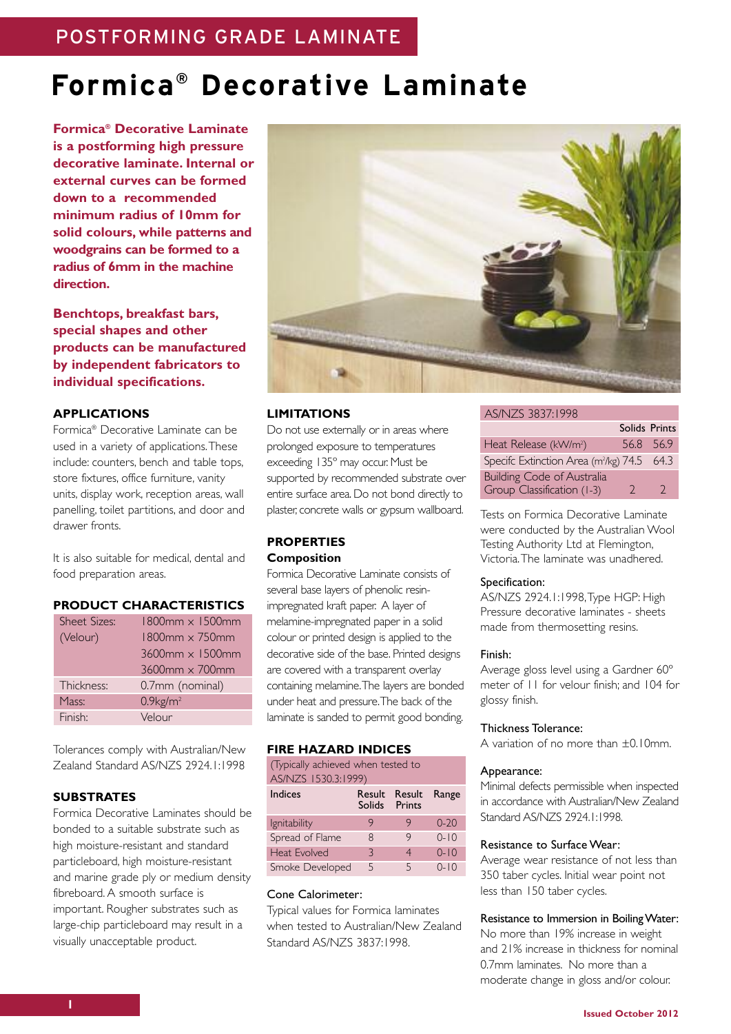# **Formica® Decorative Laminate**

**Formica® Decorative Laminate is a postforming high pressure decorative laminate. Internal or external curves can be formed down to a recommended minimum radius of 10mm for solid colours, while patterns and woodgrains can be formed to a radius of 6mm in the machine direction.**

**Benchtops, breakfast bars, special shapes and other products can be manufactured by independent fabricators to individual specifications.**

# **APPLICATIONS**

Formica® Decorative Laminate can be used in a variety of applications.These include: counters, bench and table tops, store fixtures, office furniture, vanity units, display work, reception areas, wall panelling, toilet partitions, and door and drawer fronts.

It is also suitable for medical, dental and food preparation areas.

# **PRODUCT CHARACTERISTICS**

| <b>Sheet Sizes:</b> | $1800$ mm $\times 1500$ mm |
|---------------------|----------------------------|
| (Velour)            | $1800$ mm $\times$ 750mm   |
|                     | $3600$ mm $\times$ 1500mm  |
|                     | $3600$ mm $\times$ 700mm   |
| Thickness:          | 0.7mm (nominal)            |
| Mass:               | $0.9$ kg/m <sup>2</sup>    |
| Finish:             | Velour                     |

Tolerances comply with Australian/New Zealand Standard AS/NZS 2924.1:1998

# **SUBSTRATES**

Formica Decorative Laminates should be bonded to a suitable substrate such as high moisture-resistant and standard particleboard, high moisture-resistant and marine grade ply or medium density fibreboard.A smooth surface is important. Rougher substrates such as large-chip particleboard may result in a visually unacceptable product.



# **LIMITATIONS**

Do not use externally or in areas where prolonged exposure to temperatures exceeding 135º may occur. Must be supported by recommended substrate over entire surface area. Do not bond directly to plaster, concrete walls or gypsum wallboard.

# **PROPERTIES Composition**

Formica Decorative Laminate consists of several base layers of phenolic resinimpregnated kraft paper. A layer of melamine-impregnated paper in a solid colour or printed design is applied to the decorative side of the base. Printed designs are covered with a transparent overlay containing melamine.The layers are bonded under heat and pressure.The back of the laminate is sanded to permit good bonding.

# **FIRE HAZARD INDICES**

| (Typically achieved when tested to<br>AS/NZS 1530.3:1999) |                  |                  |          |  |
|-----------------------------------------------------------|------------------|------------------|----------|--|
| Indices                                                   | Result<br>Solids | Result<br>Prints | Range    |  |
| Ignitability                                              | 9                | 9                | $0 - 20$ |  |
| Spread of Flame                                           | 8                | 9                | $0 - 10$ |  |
| <b>Heat Evolved</b>                                       | 3                | 4                | $0 - 10$ |  |
| Smoke Developed                                           | 5                | 5                | $0 - 10$ |  |

# Cone Calorimeter:

Typical values for Formica laminates when tested to Australian/New Zealand Standard AS/NZS 3837:1998.

#### AS/NZS 3837:1998

|                                                        | Solids Prints |           |
|--------------------------------------------------------|---------------|-----------|
| Heat Release (kW/m <sup>2</sup> )                      |               | 56.8 56.9 |
| Specifc Extinction Area (m <sup>2</sup> /kg) 74.5 64.3 |               |           |
| <b>Building Code of Australia</b>                      |               |           |
| Group Classification (1-3)                             | $\mathcal{D}$ | 2         |

Tests on Formica Decorative Laminate were conducted by the Australian Wool Testing Authority Ltd at Flemington, Victoria.The laminate was unadhered.

#### Specification:

AS/NZS 2924.1:1998,Type HGP: High Pressure decorative laminates - sheets made from thermosetting resins.

#### Finish:

Average gloss level using a Gardner 60º meter of 11 for velour finish; and 104 for glossy finish.

# Thickness Tolerance:

A variation of no more than ±0.10mm.

#### Appearance:

Minimal defects permissible when inspected in accordance with Australian/New Zealand Standard AS/N7S 2924 1:1998

#### Resistance to Surface Wear:

Average wear resistance of not less than 350 taber cycles. Initial wear point not less than 150 taber cycles.

#### Resistance to Immersion in BoilingWater:

No more than 19% increase in weight and 21% increase in thickness for nominal 0.7mm laminates. No more than a moderate change in gloss and/or colour.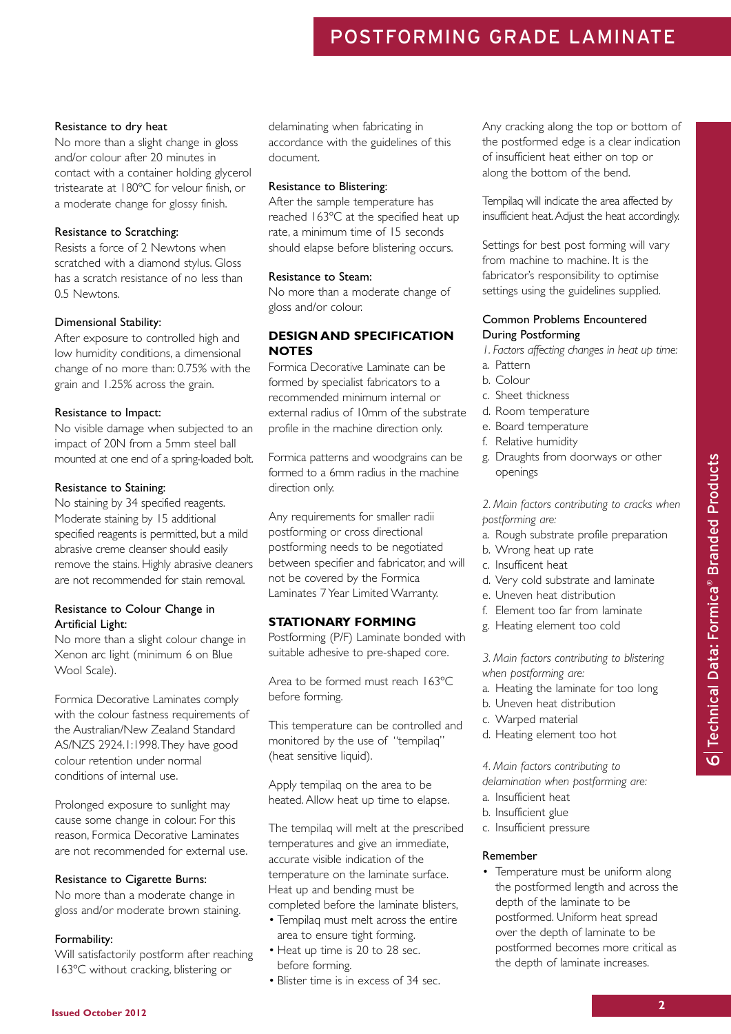# POSTFORMING GRADE LAMINATE

#### Resistance to dry heat

No more than a slight change in gloss and/or colour after 20 minutes in contact with a container holding glycerol tristearate at 180ºC for velour finish, or a moderate change for glossy finish.

# Resistance to Scratching:

Resists a force of 2 Newtons when scratched with a diamond stylus. Gloss has a scratch resistance of no less than 0.5 Newtons.

# Dimensional Stability:

After exposure to controlled high and low humidity conditions, a dimensional change of no more than: 0.75% with the grain and 1.25% across the grain.

# Resistance to Impact:

No visible damage when subjected to an impact of 20N from a 5mm steel ball mounted at one end of a spring-loaded bolt.

# Resistance to Staining:

No staining by 34 specified reagents. Moderate staining by 15 additional specified reagents is permitted, but a mild abrasive creme cleanser should easily remove the stains. Highly abrasive cleaners are not recommended for stain removal.

# Resistance to Colour Change in Artificial Light:

No more than a slight colour change in Xenon arc light (minimum 6 on Blue Wool Scale).

Formica Decorative Laminates comply with the colour fastness requirements of the Australian/New Zealand Standard AS/NZS 2924.1:1998.They have good colour retention under normal conditions of internal use.

Prolonged exposure to sunlight may cause some change in colour. For this reason, Formica Decorative Laminates are not recommended for external use.

# Resistance to Cigarette Burns:

No more than a moderate change in gloss and/or moderate brown staining.

# Formability:

Will satisfactorily postform after reaching 163ºC without cracking, blistering or

delaminating when fabricating in accordance with the guidelines of this document.

# Resistance to Blistering:

After the sample temperature has reached 163ºC at the specified heat up rate, a minimum time of 15 seconds should elapse before blistering occurs.

# Resistance to Steam:

No more than a moderate change of gloss and/or colour.

# **DESIGN AND SPECIFICATION NOTES**

Formica Decorative Laminate can be formed by specialist fabricators to a recommended minimum internal or external radius of 10mm of the substrate profile in the machine direction only.

Formica patterns and woodgrains can be formed to a 6mm radius in the machine direction only.

Any requirements for smaller radii postforming or cross directional postforming needs to be negotiated between specifier and fabricator, and will not be covered by the Formica Laminates 7 Year Limited Warranty.

# **STATIONARY FORMING**

Postforming (P/F) Laminate bonded with suitable adhesive to pre-shaped core.

Area to be formed must reach 163ºC before forming.

This temperature can be controlled and monitored by the use of "tempilaq" (heat sensitive liquid).

Apply tempilaq on the area to be heated.Allow heat up time to elapse.

The tempilaq will melt at the prescribed temperatures and give an immediate, accurate visible indication of the temperature on the laminate surface. Heat up and bending must be

- completed before the laminate blisters, • Tempilaq must melt across the entire area to ensure tight forming.
- Heat up time is 20 to 28 sec. before forming.
- Blister time is in excess of 34 sec.

Any cracking along the top or bottom of the postformed edge is a clear indication of insufficient heat either on top or along the bottom of the bend.

Tempilaq will indicate the area affected by insufficient heat.Adjust the heat accordingly.

Settings for best post forming will vary from machine to machine. It is the fabricator's responsibility to optimise settings using the guidelines supplied.

# Common Problems Encountered During Postforming

- *1. Factors affecting changes in heat up time:*
- a. Pattern
- b. Colour
- c. Sheet thickness
- d. Room temperature
- e. Board temperature
- f. Relative humidity
- g. Draughts from doorways or other openings

*2. Main factors contributing to cracks when postforming are:*

- a. Rough substrate profile preparation
- b. Wrong heat up rate
- c. Insufficent heat
- d. Very cold substrate and laminate
- e. Uneven heat distribution
- f. Element too far from laminate
- g. Heating element too cold

*3. Main factors contributing to blistering when postforming are:*

- a. Heating the laminate for too long
- b. Uneven heat distribution
- c. Warped material
- d. Heating element too hot

*4. Main factors contributing to delamination when postforming are:*

- a. Insufficient heat
- b. Insufficient glue
- c. Insufficient pressure

# Remember

• Temperature must be uniform along the postformed length and across the depth of the laminate to be postformed. Uniform heat spread over the depth of laminate to be postformed becomes more critical as the depth of laminate increases.

 $\mathbf \Omega$